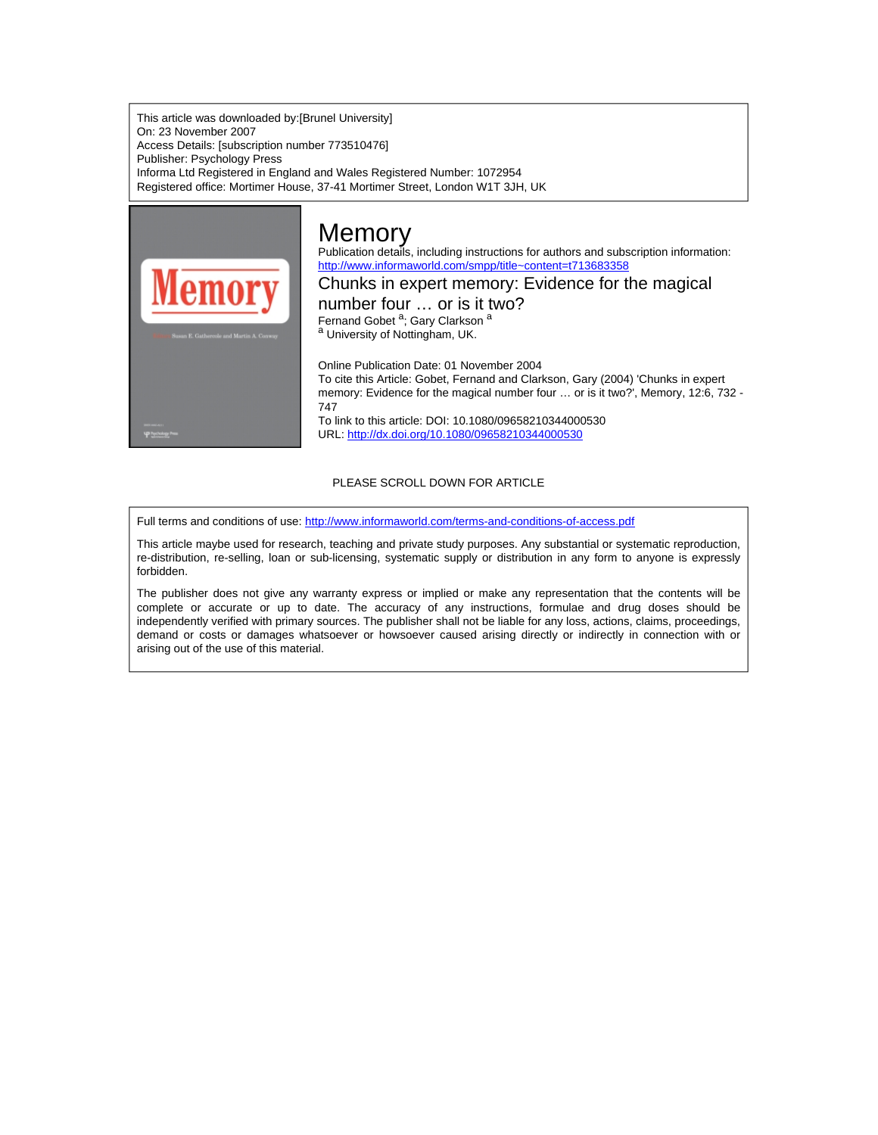This article was downloaded by:[Brunel University] On: 23 November 2007 Access Details: [subscription number 773510476] Publisher: Psychology Press Informa Ltd Registered in England and Wales Registered Number: 1072954 Registered office: Mortimer House, 37-41 Mortimer Street, London W1T 3JH, UK



# Memory

Publication details, including instructions for authors and subscription information: <http://www.informaworld.com/smpp/title~content=t713683358>

Chunks in expert memory: Evidence for the magical

number four … or is it two? Fernand Gobet <sup>a</sup>; Gary Clarkson <sup>a</sup> a University of Nottingham, UK.

Online Publication Date: 01 November 2004 To cite this Article: Gobet, Fernand and Clarkson, Gary (2004) 'Chunks in expert memory: Evidence for the magical number four … or is it two?', Memory, 12:6, 732 - 747 To link to this article: DOI: 10.1080/09658210344000530

URL: <http://dx.doi.org/10.1080/09658210344000530>

#### PLEASE SCROLL DOWN FOR ARTICLE

Full terms and conditions of use: <http://www.informaworld.com/terms-and-conditions-of-access.pdf>

This article maybe used for research, teaching and private study purposes. Any substantial or systematic reproduction, re-distribution, re-selling, loan or sub-licensing, systematic supply or distribution in any form to anyone is expressly forbidden.

The publisher does not give any warranty express or implied or make any representation that the contents will be complete or accurate or up to date. The accuracy of any instructions, formulae and drug doses should be independently verified with primary sources. The publisher shall not be liable for any loss, actions, claims, proceedings, demand or costs or damages whatsoever or howsoever caused arising directly or indirectly in connection with or arising out of the use of this material.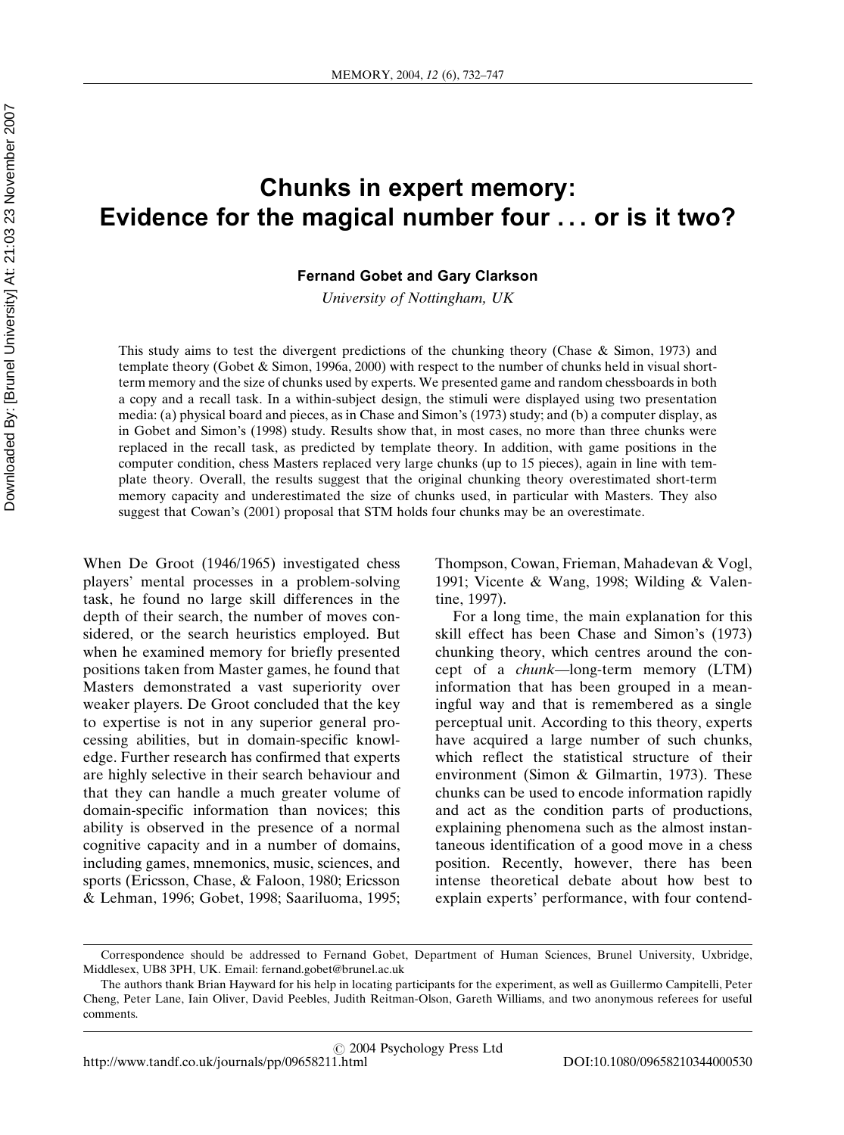# **Chunks in expert memory:** Evidence for the magical number four ... or is it two?

#### **Fernand Gobet and Gary Clarkson**

University of Nottingham, UK

This study aims to test the divergent predictions of the chunking theory (Chase & Simon, 1973) and template theory (Gobet  $\&$  Simon, 1996a, 2000) with respect to the number of chunks held in visual shortterm memory and the size of chunks used by experts. We presented game and random chessboards in both a copy and a recall task. In a within-subject design, the stimuli were displayed using two presentation media: (a) physical board and pieces, as in Chase and Simon's (1973) study; and (b) a computer display, as in Gobet and Simon's (1998) study. Results show that, in most cases, no more than three chunks were replaced in the recall task, as predicted by template theory. In addition, with game positions in the computer condition, chess Masters replaced very large chunks (up to 15 pieces), again in line with template theory. Overall, the results suggest that the original chunking theory overestimated short-term memory capacity and underestimated the size of chunks used, in particular with Masters. They also suggest that Cowan's (2001) proposal that STM holds four chunks may be an overestimate.

When De Groot (1946/1965) investigated chess players' mental processes in a problem-solving task, he found no large skill differences in the depth of their search, the number of moves considered, or the search heuristics employed. But when he examined memory for briefly presented positions taken from Master games, he found that Masters demonstrated a vast superiority over weaker players. De Groot concluded that the key to expertise is not in any superior general processing abilities, but in domain-specific knowledge. Further research has confirmed that experts are highly selective in their search behaviour and that they can handle a much greater volume of domain-specific information than novices; this ability is observed in the presence of a normal cognitive capacity and in a number of domains, including games, mnemonics, music, sciences, and sports (Ericsson, Chase, & Faloon, 1980; Ericsson & Lehman, 1996; Gobet, 1998; Saariluoma, 1995; Thompson, Cowan, Frieman, Mahadevan & Vogl, 1991; Vicente & Wang, 1998; Wilding & Valentine, 1997).

For a long time, the main explanation for this skill effect has been Chase and Simon's (1973) chunking theory, which centres around the concept of a chunk-long-term memory (LTM) information that has been grouped in a meaningful way and that is remembered as a single perceptual unit. According to this theory, experts have acquired a large number of such chunks, which reflect the statistical structure of their environment (Simon & Gilmartin, 1973). These chunks can be used to encode information rapidly and act as the condition parts of productions, explaining phenomena such as the almost instantaneous identification of a good move in a chess position. Recently, however, there has been intense theoretical debate about how best to explain experts' performance, with four contend-

Correspondence should be addressed to Fernand Gobet, Department of Human Sciences, Brunel University, Uxbridge, Middlesex, UB8 3PH, UK. Email: fernand.gobet@brunel.ac.uk

The authors thank Brian Hayward for his help in locating participants for the experiment, as well as Guillermo Campitelli, Peter Cheng, Peter Lane, Iain Oliver, David Peebles, Judith Reitman-Olson, Gareth Williams, and two anonymous referees for useful comments.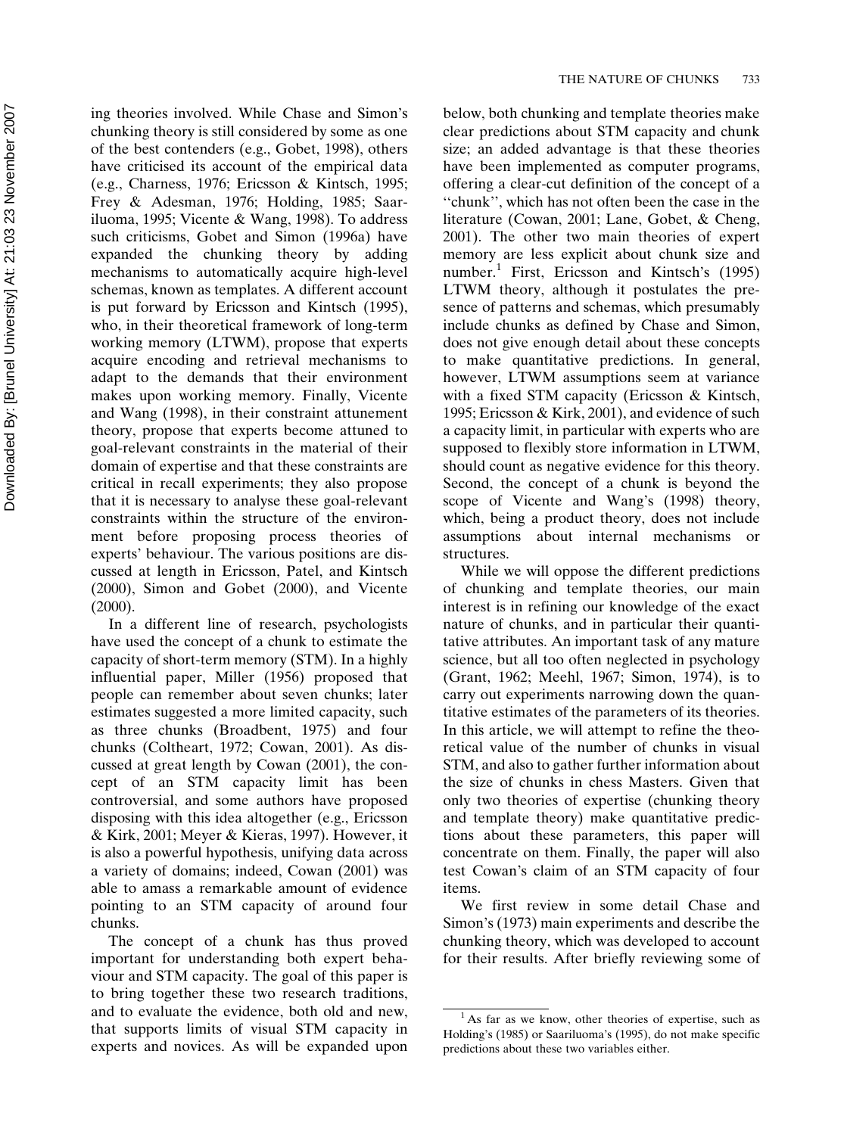ing theories involved. While Chase and Simon's chunking theory is still considered by some as one of the best contenders (e.g., Gobet, 1998), others have criticised its account of the empirical data (e.g., Charness, 1976; Ericsson & Kintsch, 1995; Frey & Adesman, 1976; Holding, 1985; Saariluoma, 1995; Vicente & Wang, 1998). To address such criticisms, Gobet and Simon (1996a) have expanded the chunking theory by adding mechanisms to automatically acquire high-level schemas, known as templates. A different account is put forward by Ericsson and Kintsch (1995), who, in their theoretical framework of long-term working memory (LTWM), propose that experts acquire encoding and retrieval mechanisms to adapt to the demands that their environment makes upon working memory. Finally, Vicente and Wang (1998), in their constraint attunement theory, propose that experts become attuned to goal-relevant constraints in the material of their domain of expertise and that these constraints are critical in recall experiments; they also propose that it is necessary to analyse these goal-relevant constraints within the structure of the environment before proposing process theories of experts' behaviour. The various positions are discussed at length in Ericsson, Patel, and Kintsch  $(2000)$ , Simon and Gobet  $(2000)$ , and Vicente  $(2000).$ 

In a different line of research, psychologists have used the concept of a chunk to estimate the capacity of short-term memory (STM). In a highly influential paper, Miller (1956) proposed that people can remember about seven chunks; later estimates suggested a more limited capacity, such as three chunks (Broadbent, 1975) and four chunks (Coltheart, 1972; Cowan, 2001). As discussed at great length by Cowan (2001), the conof an STM capacity limit has been cept controversial, and some authors have proposed disposing with this idea altogether (e.g., Ericsson & Kirk, 2001; Meyer & Kieras, 1997). However, it is also a powerful hypothesis, unifying data across a variety of domains; indeed, Cowan (2001) was able to amass a remarkable amount of evidence pointing to an STM capacity of around four chunks.

The concept of a chunk has thus proved important for understanding both expert behaviour and STM capacity. The goal of this paper is to bring together these two research traditions, and to evaluate the evidence, both old and new, that supports limits of visual STM capacity in experts and novices. As will be expanded upon below, both chunking and template theories make clear predictions about STM capacity and chunk size; an added advantage is that these theories have been implemented as computer programs, offering a clear-cut definition of the concept of a "chunk", which has not often been the case in the literature (Cowan, 2001; Lane, Gobet, & Cheng, 2001). The other two main theories of expert memory are less explicit about chunk size and number.<sup>1</sup> First, Ericsson and Kintsch's (1995) LTWM theory, although it postulates the presence of patterns and schemas, which presumably include chunks as defined by Chase and Simon, does not give enough detail about these concepts to make quantitative predictions. In general, however, LTWM assumptions seem at variance with a fixed STM capacity (Ericsson & Kintsch, 1995; Ericsson & Kirk, 2001), and evidence of such a capacity limit, in particular with experts who are supposed to flexibly store information in LTWM, should count as negative evidence for this theory. Second, the concept of a chunk is beyond the scope of Vicente and Wang's (1998) theory, which, being a product theory, does not include assumptions about internal mechanisms or structures.

While we will oppose the different predictions of chunking and template theories, our main interest is in refining our knowledge of the exact nature of chunks, and in particular their quantitative attributes. An important task of any mature science, but all too often neglected in psychology (Grant, 1962; Meehl, 1967; Simon, 1974), is to carry out experiments narrowing down the quantitative estimates of the parameters of its theories. In this article, we will attempt to refine the theoretical value of the number of chunks in visual STM, and also to gather further information about the size of chunks in chess Masters. Given that only two theories of expertise (chunking theory and template theory) make quantitative predictions about these parameters, this paper will concentrate on them. Finally, the paper will also test Cowan's claim of an STM capacity of four items.

We first review in some detail Chase and Simon's (1973) main experiments and describe the chunking theory, which was developed to account for their results. After briefly reviewing some of

<sup>&</sup>lt;sup>1</sup>As far as we know, other theories of expertise, such as Holding's (1985) or Saariluoma's (1995), do not make specific predictions about these two variables either.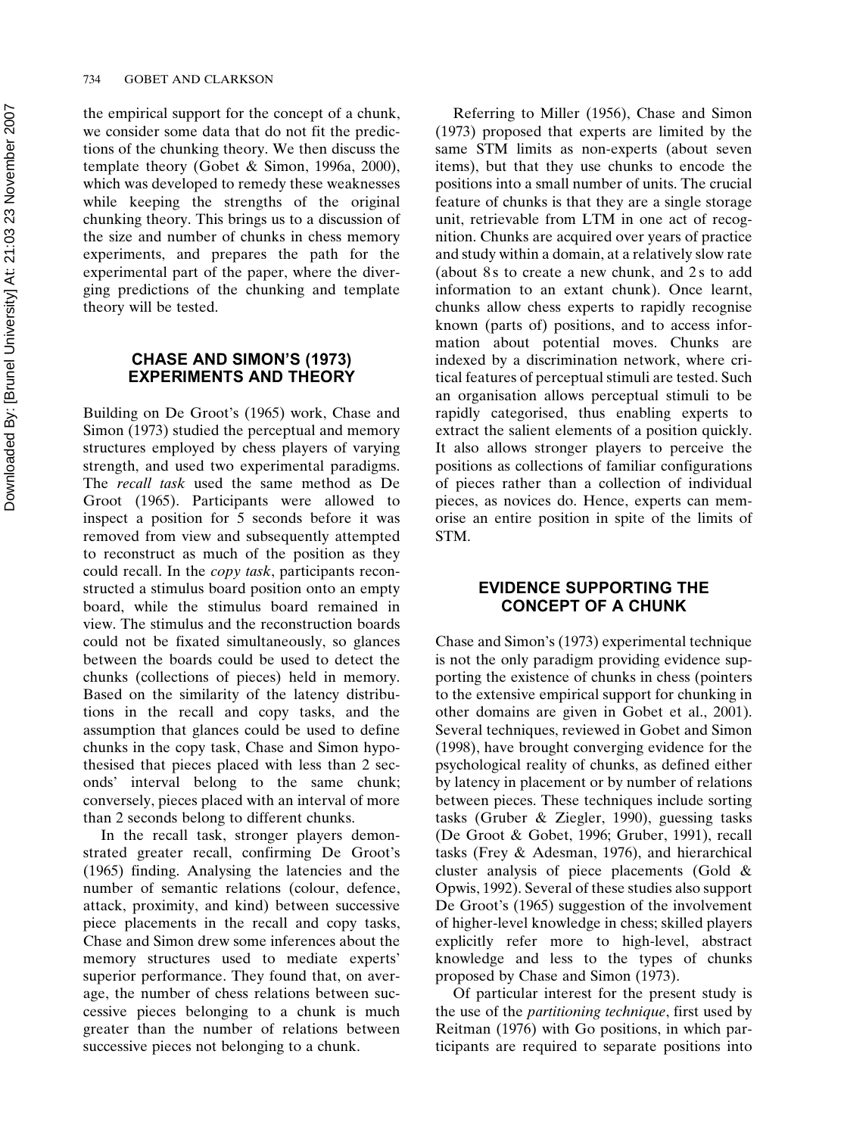the empirical support for the concept of a chunk, we consider some data that do not fit the predictions of the chunking theory. We then discuss the template theory (Gobet & Simon, 1996a, 2000), which was developed to remedy these weaknesses while keeping the strengths of the original chunking theory. This brings us to a discussion of the size and number of chunks in chess memory experiments, and prepares the path for the experimental part of the paper, where the diverging predictions of the chunking and template theory will be tested.

# **CHASE AND SIMON'S (1973) EXPERIMENTS AND THEORY**

Building on De Groot's (1965) work, Chase and Simon (1973) studied the perceptual and memory structures employed by chess players of varying strength, and used two experimental paradigms. The recall task used the same method as De Groot (1965). Participants were allowed to inspect a position for 5 seconds before it was removed from view and subsequently attempted to reconstruct as much of the position as they could recall. In the *copy task*, participants reconstructed a stimulus board position onto an empty board, while the stimulus board remained in view. The stimulus and the reconstruction boards could not be fixated simultaneously, so glances between the boards could be used to detect the chunks (collections of pieces) held in memory. Based on the similarity of the latency distributions in the recall and copy tasks, and the assumption that glances could be used to define chunks in the copy task, Chase and Simon hypothesised that pieces placed with less than 2 secinterval belong to the same chunk; onds' conversely, pieces placed with an interval of more than 2 seconds belong to different chunks.

In the recall task, stronger players demonstrated greater recall, confirming De Groot's (1965) finding. Analysing the latencies and the number of semantic relations (colour, defence, attack, proximity, and kind) between successive piece placements in the recall and copy tasks. Chase and Simon drew some inferences about the memory structures used to mediate experts' superior performance. They found that, on average, the number of chess relations between successive pieces belonging to a chunk is much greater than the number of relations between successive pieces not belonging to a chunk.

Referring to Miller (1956), Chase and Simon (1973) proposed that experts are limited by the same STM limits as non-experts (about seven items), but that they use chunks to encode the positions into a small number of units. The crucial feature of chunks is that they are a single storage unit, retrievable from LTM in one act of recognition. Chunks are acquired over years of practice and study within a domain, at a relatively slow rate (about 8s to create a new chunk, and 2s to add information to an extant chunk). Once learnt, chunks allow chess experts to rapidly recognise known (parts of) positions, and to access information about potential moves. Chunks are indexed by a discrimination network, where critical features of perceptual stimuli are tested. Such an organisation allows perceptual stimuli to be rapidly categorised, thus enabling experts to extract the salient elements of a position quickly. It also allows stronger players to perceive the positions as collections of familiar configurations of pieces rather than a collection of individual pieces, as novices do. Hence, experts can memorise an entire position in spite of the limits of STM.

# **EVIDENCE SUPPORTING THE CONCEPT OF A CHUNK**

Chase and Simon's (1973) experimental technique is not the only paradigm providing evidence supporting the existence of chunks in chess (pointers to the extensive empirical support for chunking in other domains are given in Gobet et al., 2001). Several techniques, reviewed in Gobet and Simon (1998), have brought converging evidence for the psychological reality of chunks, as defined either by latency in placement or by number of relations between pieces. These techniques include sorting tasks (Gruber & Ziegler, 1990), guessing tasks (De Groot & Gobet, 1996; Gruber, 1991), recall tasks (Frey & Adesman, 1976), and hierarchical cluster analysis of piece placements (Gold & Opwis, 1992). Several of these studies also support De Groot's (1965) suggestion of the involvement of higher-level knowledge in chess; skilled players explicitly refer more to high-level, abstract knowledge and less to the types of chunks proposed by Chase and Simon (1973).

Of particular interest for the present study is the use of the *partitioning technique*, first used by Reitman (1976) with Go positions, in which participants are required to separate positions into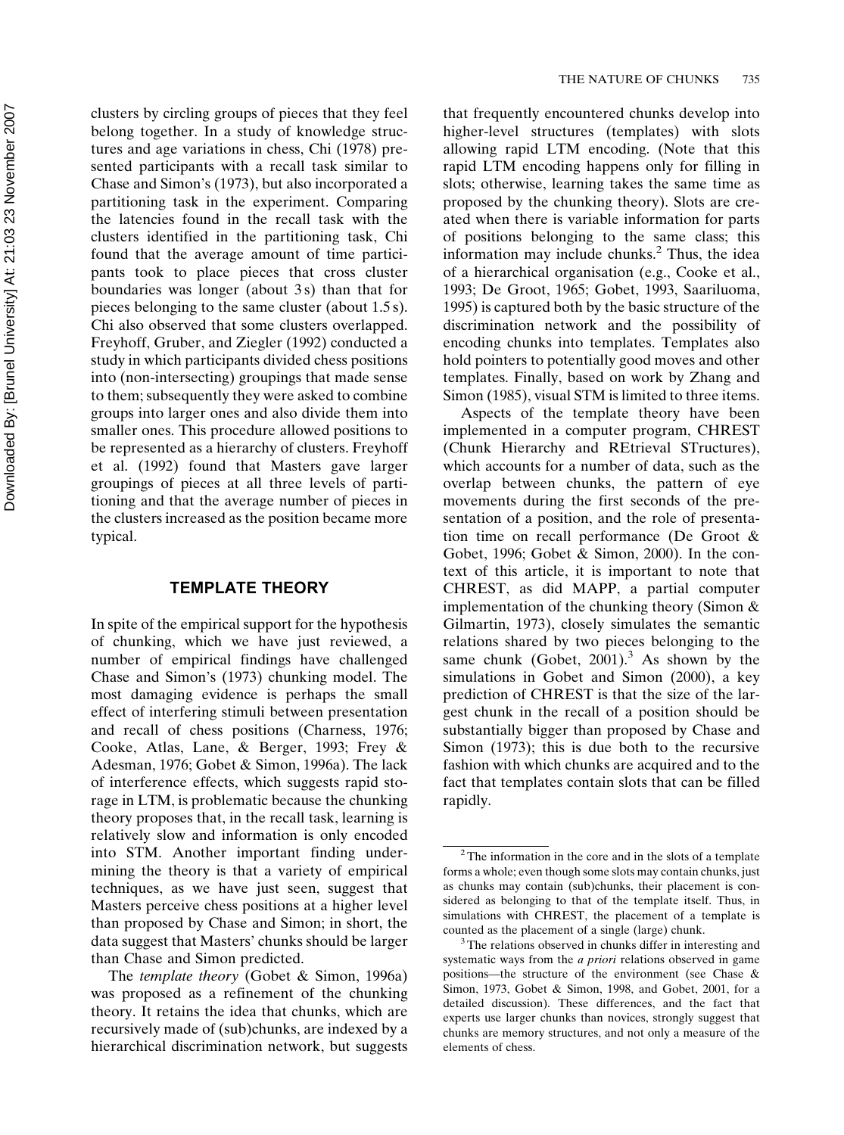clusters by circling groups of pieces that they feel belong together. In a study of knowledge structures and age variations in chess, Chi (1978) presented participants with a recall task similar to Chase and Simon's (1973), but also incorporated a partitioning task in the experiment. Comparing the latencies found in the recall task with the clusters identified in the partitioning task, Chi found that the average amount of time participants took to place pieces that cross cluster boundaries was longer (about 3s) than that for pieces belonging to the same cluster (about 1.5 s). Chi also observed that some clusters overlapped. Freyhoff, Gruber, and Ziegler (1992) conducted a study in which participants divided chess positions into (non-intersecting) groupings that made sense to them; subsequently they were asked to combine groups into larger ones and also divide them into smaller ones. This procedure allowed positions to be represented as a hierarchy of clusters. Freyhoff et al. (1992) found that Masters gave larger groupings of pieces at all three levels of partitioning and that the average number of pieces in the clusters increased as the position became more typical.

# **TEMPLATE THEORY**

In spite of the empirical support for the hypothesis of chunking, which we have just reviewed, a number of empirical findings have challenged Chase and Simon's (1973) chunking model. The most damaging evidence is perhaps the small effect of interfering stimuli between presentation and recall of chess positions (Charness, 1976; Cooke, Atlas, Lane, & Berger, 1993; Frey & Adesman, 1976; Gobet & Simon, 1996a). The lack of interference effects, which suggests rapid storage in LTM, is problematic because the chunking theory proposes that, in the recall task, learning is relatively slow and information is only encoded into STM. Another important finding undermining the theory is that a variety of empirical techniques, as we have just seen, suggest that Masters perceive chess positions at a higher level than proposed by Chase and Simon; in short, the data suggest that Masters' chunks should be larger than Chase and Simon predicted.

The template theory (Gobet & Simon, 1996a) was proposed as a refinement of the chunking theory. It retains the idea that chunks, which are recursively made of (sub)chunks, are indexed by a hierarchical discrimination network, but suggests that frequently encountered chunks develop into higher-level structures (templates) with slots allowing rapid LTM encoding. (Note that this rapid LTM encoding happens only for filling in slots; otherwise, learning takes the same time as proposed by the chunking theory). Slots are created when there is variable information for parts of positions belonging to the same class; this information may include chunks.<sup>2</sup> Thus, the idea of a hierarchical organisation (e.g., Cooke et al., 1993; De Groot, 1965; Gobet, 1993, Saariluoma, 1995) is captured both by the basic structure of the discrimination network and the possibility of encoding chunks into templates. Templates also hold pointers to potentially good moves and other templates. Finally, based on work by Zhang and Simon (1985), visual STM is limited to three items.

Aspects of the template theory have been implemented in a computer program, CHREST (Chunk Hierarchy and REtrieval STructures), which accounts for a number of data, such as the overlap between chunks, the pattern of eye movements during the first seconds of the presentation of a position, and the role of presentation time on recall performance (De Groot  $\&$ Gobet, 1996; Gobet & Simon, 2000). In the context of this article, it is important to note that CHREST, as did MAPP, a partial computer implementation of the chunking theory (Simon  $\&$ Gilmartin, 1973), closely simulates the semantic relations shared by two pieces belonging to the same chunk (Gobet,  $2001$ ).<sup>3</sup> As shown by the simulations in Gobet and Simon (2000), a key prediction of CHREST is that the size of the largest chunk in the recall of a position should be substantially bigger than proposed by Chase and Simon  $(1973)$ ; this is due both to the recursive fashion with which chunks are acquired and to the fact that templates contain slots that can be filled rapidly.

 $2$  The information in the core and in the slots of a template forms a whole; even though some slots may contain chunks, just as chunks may contain (sub)chunks, their placement is considered as belonging to that of the template itself. Thus, in simulations with CHREST, the placement of a template is counted as the placement of a single (large) chunk.

<sup>&</sup>lt;sup>3</sup>The relations observed in chunks differ in interesting and systematic ways from the *a priori* relations observed in game positions—the structure of the environment (see Chase & Simon, 1973, Gobet & Simon, 1998, and Gobet, 2001, for a detailed discussion). These differences, and the fact that experts use larger chunks than novices, strongly suggest that chunks are memory structures, and not only a measure of the elements of chess.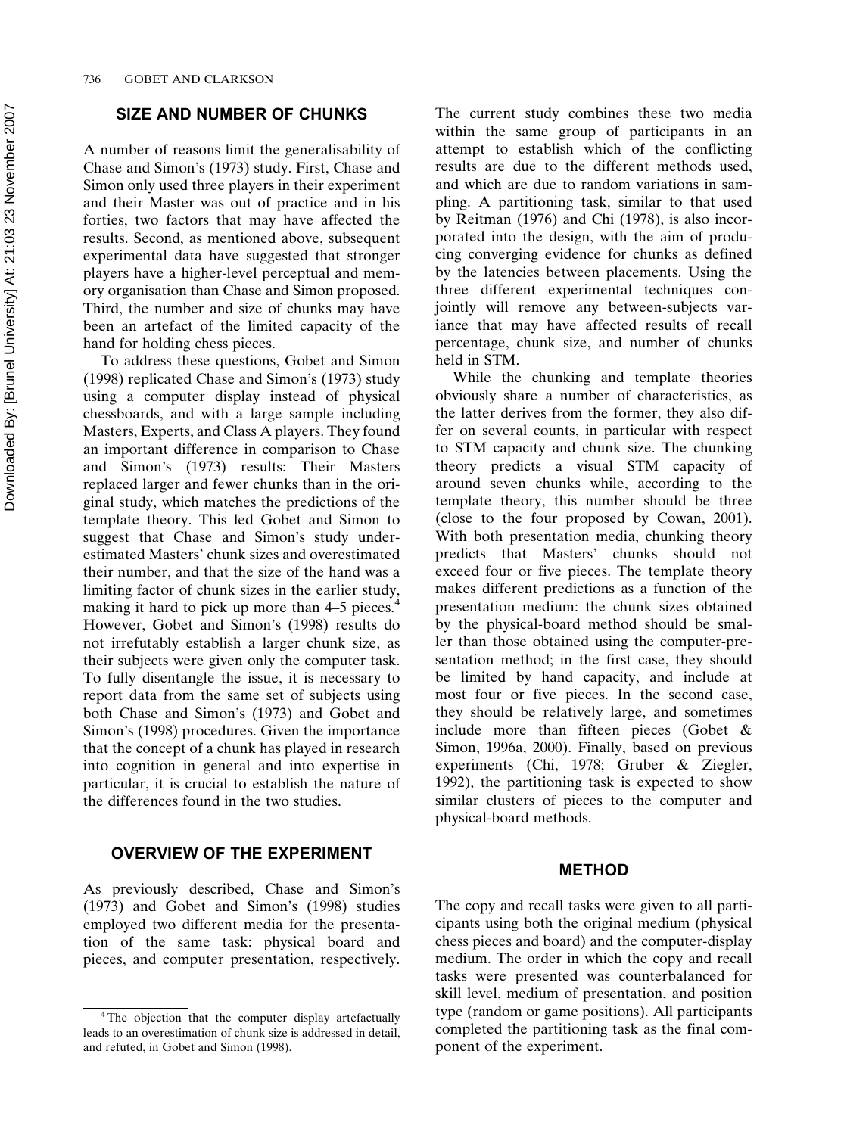#### **SIZE AND NUMBER OF CHUNKS**

A number of reasons limit the generalisability of Chase and Simon's (1973) study. First, Chase and Simon only used three players in their experiment and their Master was out of practice and in his forties, two factors that may have affected the results. Second, as mentioned above, subsequent experimental data have suggested that stronger players have a higher-level perceptual and memory organisation than Chase and Simon proposed. Third, the number and size of chunks may have been an artefact of the limited capacity of the hand for holding chess pieces.

To address these questions, Gobet and Simon (1998) replicated Chase and Simon's (1973) study using a computer display instead of physical chessboards, and with a large sample including Masters, Experts, and Class A players. They found an important difference in comparison to Chase and Simon's (1973) results: Their Masters replaced larger and fewer chunks than in the original study, which matches the predictions of the template theory. This led Gobet and Simon to suggest that Chase and Simon's study underestimated Masters' chunk sizes and overestimated their number, and that the size of the hand was a limiting factor of chunk sizes in the earlier study. making it hard to pick up more than 4–5 pieces.<sup>4</sup> However, Gobet and Simon's (1998) results do not irrefutably establish a larger chunk size, as their subjects were given only the computer task. To fully disentangle the issue, it is necessary to report data from the same set of subjects using both Chase and Simon's (1973) and Gobet and Simon's (1998) procedures. Given the importance that the concept of a chunk has played in research into cognition in general and into expertise in particular, it is crucial to establish the nature of the differences found in the two studies.

# **OVERVIEW OF THE EXPERIMENT**

As previously described, Chase and Simon's (1973) and Gobet and Simon's (1998) studies employed two different media for the presentation of the same task: physical board and pieces, and computer presentation, respectively.

The current study combines these two media within the same group of participants in an attempt to establish which of the conflicting results are due to the different methods used, and which are due to random variations in sampling. A partitioning task, similar to that used by Reitman (1976) and Chi (1978), is also incorporated into the design, with the aim of producing converging evidence for chunks as defined by the latencies between placements. Using the three different experimental techniques conjointly will remove any between-subjects variance that may have affected results of recall percentage, chunk size, and number of chunks held in STM.

While the chunking and template theories obviously share a number of characteristics, as the latter derives from the former, they also differ on several counts, in particular with respect to STM capacity and chunk size. The chunking theory predicts a visual STM capacity of around seven chunks while, according to the template theory, this number should be three (close to the four proposed by Cowan, 2001). With both presentation media, chunking theory predicts that Masters' chunks should not exceed four or five pieces. The template theory makes different predictions as a function of the presentation medium: the chunk sizes obtained by the physical-board method should be smaller than those obtained using the computer-presentation method; in the first case, they should be limited by hand capacity, and include at most four or five pieces. In the second case, they should be relatively large, and sometimes include more than fifteen pieces (Gobet & Simon, 1996a, 2000). Finally, based on previous experiments (Chi, 1978; Gruber & Ziegler, 1992), the partitioning task is expected to show similar clusters of pieces to the computer and physical-board methods.

#### **METHOD**

The copy and recall tasks were given to all participants using both the original medium (physical chess pieces and board) and the computer-display medium. The order in which the copy and recall tasks were presented was counterbalanced for skill level, medium of presentation, and position type (random or game positions). All participants completed the partitioning task as the final component of the experiment.

<sup>&</sup>lt;sup>4</sup>The objection that the computer display artefactually leads to an overestimation of chunk size is addressed in detail, and refuted, in Gobet and Simon (1998).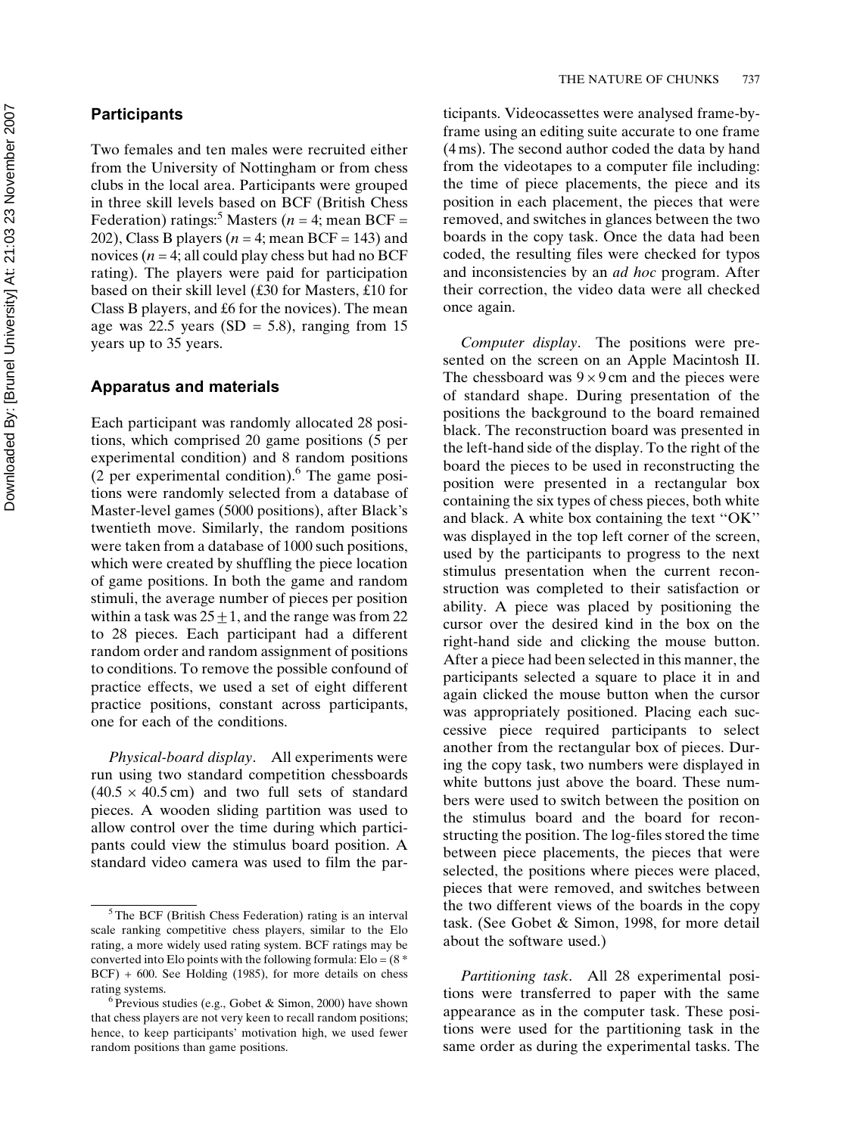# **Participants**

Two females and ten males were recruited either from the University of Nottingham or from chess clubs in the local area. Participants were grouped in three skill levels based on BCF (British Chess Federation) ratings:<sup>5</sup> Masters ( $n = 4$ ; mean BCF = 202), Class B players ( $n = 4$ ; mean BCF = 143) and novices ( $n = 4$ ; all could play chess but had no BCF rating). The players were paid for participation based on their skill level (£30 for Masters, £10 for Class B players, and £6 for the novices). The mean age was 22.5 years (SD = 5.8), ranging from 15 years up to 35 years.

#### **Apparatus and materials**

Each participant was randomly allocated 28 positions, which comprised 20 game positions (5 per experimental condition) and 8 random positions (2 per experimental condition). The game positions were randomly selected from a database of Master-level games (5000 positions), after Black's twentieth move. Similarly, the random positions were taken from a database of 1000 such positions, which were created by shuffling the piece location of game positions. In both the game and random stimuli, the average number of pieces per position within a task was  $25 \pm 1$ , and the range was from 22 to 28 pieces. Each participant had a different random order and random assignment of positions to conditions. To remove the possible confound of practice effects, we used a set of eight different practice positions, constant across participants, one for each of the conditions.

Physical-board display. All experiments were run using two standard competition chessboards  $(40.5 \times 40.5 \text{ cm})$  and two full sets of standard pieces. A wooden sliding partition was used to allow control over the time during which participants could view the stimulus board position. A standard video camera was used to film the participants. Videocassettes were analysed frame-byframe using an editing suite accurate to one frame (4 ms). The second author coded the data by hand from the videotapes to a computer file including: the time of piece placements, the piece and its position in each placement, the pieces that were removed, and switches in glances between the two boards in the copy task. Once the data had been coded, the resulting files were checked for typos and inconsistencies by an *ad hoc* program. After their correction, the video data were all checked once again.

Computer display. The positions were presented on the screen on an Apple Macintosh II. The chessboard was  $9 \times 9$  cm and the pieces were of standard shape. During presentation of the positions the background to the board remained black. The reconstruction board was presented in the left-hand side of the display. To the right of the board the pieces to be used in reconstructing the position were presented in a rectangular box containing the six types of chess pieces, both white and black. A white box containing the text "OK" was displayed in the top left corner of the screen, used by the participants to progress to the next stimulus presentation when the current reconstruction was completed to their satisfaction or ability. A piece was placed by positioning the cursor over the desired kind in the box on the right-hand side and clicking the mouse button. After a piece had been selected in this manner, the participants selected a square to place it in and again clicked the mouse button when the cursor was appropriately positioned. Placing each successive piece required participants to select another from the rectangular box of pieces. During the copy task, two numbers were displayed in white buttons just above the board. These numbers were used to switch between the position on the stimulus board and the board for reconstructing the position. The log-files stored the time between piece placements, the pieces that were selected, the positions where pieces were placed, pieces that were removed, and switches between the two different views of the boards in the copy task. (See Gobet & Simon, 1998, for more detail about the software used.)

Partitioning task. All 28 experimental positions were transferred to paper with the same appearance as in the computer task. These positions were used for the partitioning task in the same order as during the experimental tasks. The

 $<sup>5</sup>$ The BCF (British Chess Federation) rating is an interval</sup> scale ranking competitive chess players, similar to the Elo rating, a more widely used rating system. BCF ratings may be converted into Elo points with the following formula:  $E$ lo =  $(8 *$  $BCF$ ) + 600. See Holding (1985), for more details on chess rating systems.

 $6$  Previous studies (e.g., Gobet & Simon, 2000) have shown that chess players are not very keen to recall random positions; hence, to keep participants' motivation high, we used fewer random positions than game positions.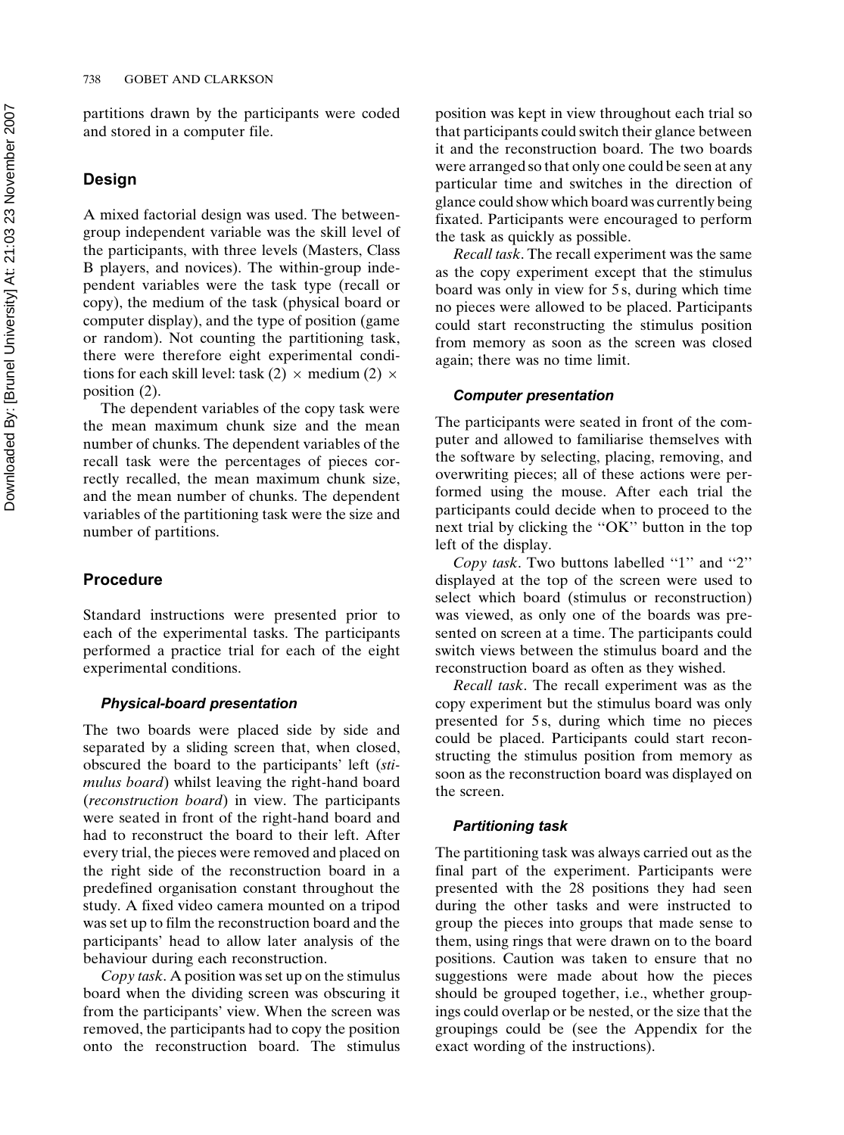partitions drawn by the participants were coded and stored in a computer file.

# **Design**

A mixed factorial design was used. The betweengroup independent variable was the skill level of the participants, with three levels (Masters, Class B players, and novices). The within-group independent variables were the task type (recall or copy), the medium of the task (physical board or computer display), and the type of position (game or random). Not counting the partitioning task, there were therefore eight experimental conditions for each skill level: task (2)  $\times$  medium (2)  $\times$ position  $(2)$ .

The dependent variables of the copy task were the mean maximum chunk size and the mean number of chunks. The dependent variables of the recall task were the percentages of pieces correctly recalled, the mean maximum chunk size. and the mean number of chunks. The dependent variables of the partitioning task were the size and number of partitions.

# **Procedure**

Standard instructions were presented prior to each of the experimental tasks. The participants performed a practice trial for each of the eight experimental conditions.

# **Physical-board presentation**

The two boards were placed side by side and separated by a sliding screen that, when closed, obscured the board to the participants' left (stimulus board) whilst leaving the right-hand board (reconstruction board) in view. The participants were seated in front of the right-hand board and had to reconstruct the board to their left. After every trial, the pieces were removed and placed on the right side of the reconstruction board in a predefined organisation constant throughout the study. A fixed video camera mounted on a tripod was set up to film the reconstruction board and the participants' head to allow later analysis of the behaviour during each reconstruction.

Copy task. A position was set up on the stimulus board when the dividing screen was obscuring it from the participants' view. When the screen was removed, the participants had to copy the position onto the reconstruction board. The stimulus

position was kept in view throughout each trial so that participants could switch their glance between it and the reconstruction board. The two boards were arranged so that only one could be seen at any particular time and switches in the direction of glance could show which board was currently being fixated. Participants were encouraged to perform the task as quickly as possible.

Recall task. The recall experiment was the same as the copy experiment except that the stimulus board was only in view for 5s, during which time no pieces were allowed to be placed. Participants could start reconstructing the stimulus position from memory as soon as the screen was closed again; there was no time limit.

#### **Computer presentation**

The participants were seated in front of the computer and allowed to familiarise themselves with the software by selecting, placing, removing, and overwriting pieces; all of these actions were performed using the mouse. After each trial the participants could decide when to proceed to the next trial by clicking the "OK" button in the top left of the display.

Copy task. Two buttons labelled "1" and "2" displayed at the top of the screen were used to select which board (stimulus or reconstruction) was viewed, as only one of the boards was presented on screen at a time. The participants could switch views between the stimulus board and the reconstruction board as often as they wished.

Recall task. The recall experiment was as the copy experiment but the stimulus board was only presented for 5s, during which time no pieces could be placed. Participants could start reconstructing the stimulus position from memory as soon as the reconstruction board was displayed on the screen.

# **Partitioning task**

The partitioning task was always carried out as the final part of the experiment. Participants were presented with the 28 positions they had seen during the other tasks and were instructed to group the pieces into groups that made sense to them, using rings that were drawn on to the board positions. Caution was taken to ensure that no suggestions were made about how the pieces should be grouped together, *i.e.*, whether groupings could overlap or be nested, or the size that the groupings could be (see the Appendix for the exact wording of the instructions).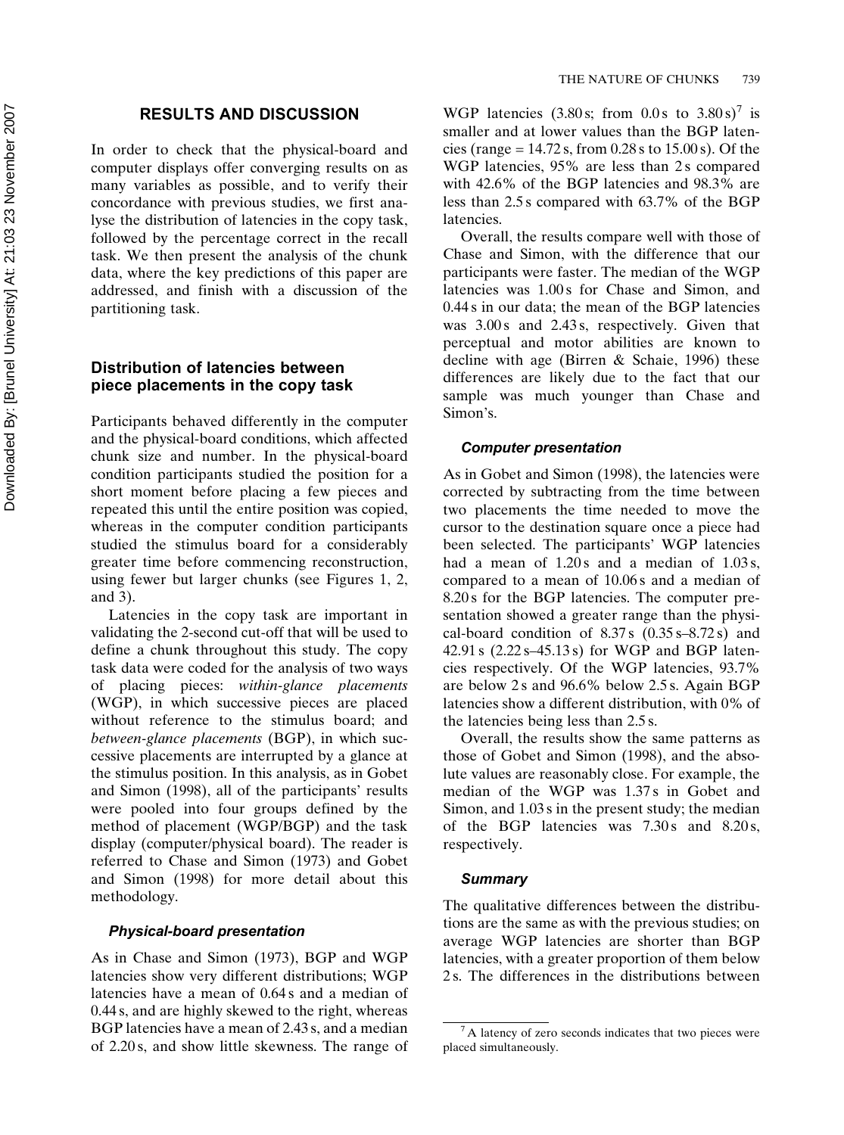# **RESULTS AND DISCUSSION**

In order to check that the physical-board and computer displays offer converging results on as many variables as possible, and to verify their concordance with previous studies, we first analyse the distribution of latencies in the copy task, followed by the percentage correct in the recall task. We then present the analysis of the chunk data, where the key predictions of this paper are addressed, and finish with a discussion of the partitioning task.

# Distribution of latencies between piece placements in the copy task

Participants behaved differently in the computer and the physical-board conditions, which affected chunk size and number. In the physical-board condition participants studied the position for a short moment before placing a few pieces and repeated this until the entire position was copied, whereas in the computer condition participants studied the stimulus board for a considerably greater time before commencing reconstruction, using fewer but larger chunks (see Figures 1, 2, and  $3$ ).

Latencies in the copy task are important in validating the 2-second cut-off that will be used to define a chunk throughout this study. The copy task data were coded for the analysis of two ways placing pieces: within-glance placements of (WGP), in which successive pieces are placed without reference to the stimulus board; and between-glance placements (BGP), in which successive placements are interrupted by a glance at the stimulus position. In this analysis, as in Gobet and Simon (1998), all of the participants' results were pooled into four groups defined by the method of placement (WGP/BGP) and the task display (computer/physical board). The reader is referred to Chase and Simon (1973) and Gobet and Simon (1998) for more detail about this methodology.

#### **Physical-board presentation**

As in Chase and Simon (1973), BGP and WGP latencies show very different distributions; WGP latencies have a mean of 0.64s and a median of 0.44 s, and are highly skewed to the right, whereas BGP latencies have a mean of 2.43 s, and a median of 2.20s, and show little skewness. The range of WGP latencies (3.80s; from 0.0s to  $3.80 \text{ s}$ )<sup>7</sup> is smaller and at lower values than the BGP latencies (range =  $14.72$  s, from 0.28 s to  $15.00$  s). Of the WGP latencies, 95% are less than 2s compared with 42.6% of the BGP latencies and 98.3% are less than 2.5 s compared with 63.7% of the BGP latencies.

Overall, the results compare well with those of Chase and Simon, with the difference that our participants were faster. The median of the WGP latencies was 1.00s for Chase and Simon, and  $0.44$  s in our data: the mean of the BGP latencies was 3.00 s and 2.43 s, respectively. Given that perceptual and motor abilities are known to decline with age (Birren  $&$  Schaie, 1996) these differences are likely due to the fact that our sample was much younger than Chase and Simon's.

#### **Computer presentation**

As in Gobet and Simon (1998), the latencies were corrected by subtracting from the time between two placements the time needed to move the cursor to the destination square once a piece had been selected. The participants' WGP latencies had a mean of  $1.20s$  and a median of  $1.03s$ , compared to a mean of 10.06s and a median of 8.20 s for the BGP latencies. The computer presentation showed a greater range than the physical-board condition of  $8.37 s$  (0.35 s-8.72 s) and 42.91 s  $(2.22 s - 45.13 s)$  for WGP and BGP latencies respectively. Of the WGP latencies, 93.7% are below 2s and 96.6% below 2.5s. Again BGP latencies show a different distribution, with 0% of the latencies being less than 2.5 s.

Overall, the results show the same patterns as those of Gobet and Simon (1998), and the absolute values are reasonably close. For example, the median of the WGP was 1.37s in Gobet and Simon, and 1.03 s in the present study; the median of the BGP latencies was 7.30s and 8.20s, respectively.

#### **Summary**

The qualitative differences between the distributions are the same as with the previous studies; on average WGP latencies are shorter than BGP latencies, with a greater proportion of them below 2s. The differences in the distributions between

 ${}^{7}$ A latency of zero seconds indicates that two pieces were placed simultaneously.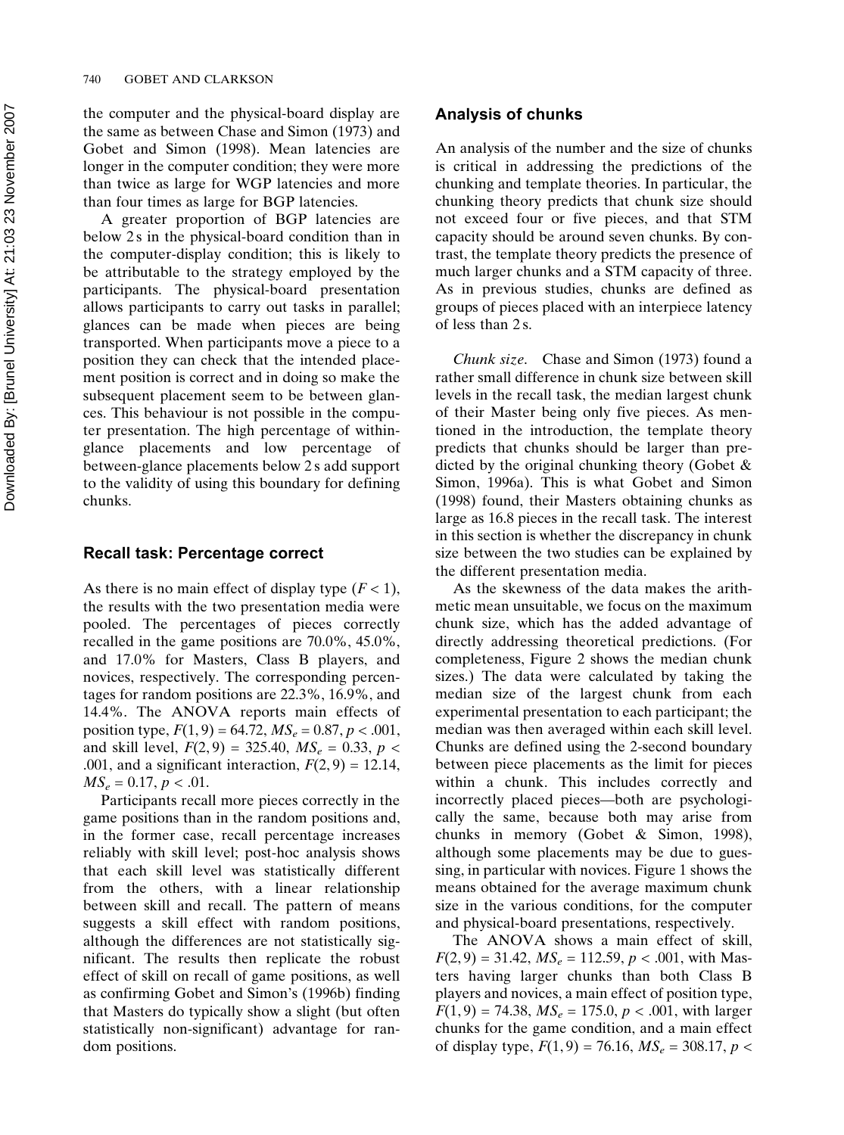the computer and the physical-board display are the same as between Chase and Simon (1973) and Gobet and Simon (1998). Mean latencies are longer in the computer condition; they were more than twice as large for WGP latencies and more than four times as large for BGP latencies.

A greater proportion of BGP latencies are below 2s in the physical-board condition than in the computer-display condition; this is likely to be attributable to the strategy employed by the participants. The physical-board presentation allows participants to carry out tasks in parallel; glances can be made when pieces are being transported. When participants move a piece to a position they can check that the intended placement position is correct and in doing so make the subsequent placement seem to be between glances. This behaviour is not possible in the computer presentation. The high percentage of withinglance placements and low percentage between-glance placements below 2 s add support to the validity of using this boundary for defining chunks.

#### **Recall task: Percentage correct**

As there is no main effect of display type  $(F < 1)$ , the results with the two presentation media were pooled. The percentages of pieces correctly recalled in the game positions are  $70.0\%$ ,  $45.0\%$ , and 17.0% for Masters, Class B players, and novices, respectively. The corresponding percentages for random positions are 22.3%, 16.9%, and 14.4%. The ANOVA reports main effects of position type,  $F(1, 9) = 64.72$ ,  $MS_e = 0.87$ ,  $p < .001$ , and skill level,  $F(2,9) = 325.40$ ,  $MS_e = 0.33$ ,  $p <$ .001, and a significant interaction,  $F(2,9) = 12.14$ ,  $MS_e = 0.17, p < .01.$ 

Participants recall more pieces correctly in the game positions than in the random positions and, in the former case, recall percentage increases reliably with skill level; post-hoc analysis shows that each skill level was statistically different from the others, with a linear relationship between skill and recall. The pattern of means suggests a skill effect with random positions, although the differences are not statistically significant. The results then replicate the robust effect of skill on recall of game positions, as well as confirming Gobet and Simon's (1996b) finding that Masters do typically show a slight (but often statistically non-significant) advantage for random positions.

# **Analysis of chunks**

An analysis of the number and the size of chunks is critical in addressing the predictions of the chunking and template theories. In particular, the chunking theory predicts that chunk size should not exceed four or five pieces, and that STM capacity should be around seven chunks. By contrast, the template theory predicts the presence of much larger chunks and a STM capacity of three. As in previous studies, chunks are defined as groups of pieces placed with an interpiece latency of less than  $2s$ .

*Chunk size.* Chase and Simon (1973) found a rather small difference in chunk size between skill levels in the recall task, the median largest chunk of their Master being only five pieces. As mentioned in the introduction, the template theory predicts that chunks should be larger than predicted by the original chunking theory (Gobet & Simon, 1996a). This is what Gobet and Simon (1998) found, their Masters obtaining chunks as large as 16.8 pieces in the recall task. The interest in this section is whether the discrepancy in chunk size between the two studies can be explained by the different presentation media.

As the skewness of the data makes the arithmetic mean unsuitable, we focus on the maximum chunk size, which has the added advantage of directly addressing theoretical predictions. (For completeness, Figure 2 shows the median chunk sizes.) The data were calculated by taking the median size of the largest chunk from each experimental presentation to each participant; the median was then averaged within each skill level. Chunks are defined using the 2-second boundary between piece placements as the limit for pieces within a chunk. This includes correctly and incorrectly placed pieces—both are psychologically the same, because both may arise from chunks in memory (Gobet & Simon, 1998), although some placements may be due to guessing, in particular with novices. Figure 1 shows the means obtained for the average maximum chunk size in the various conditions, for the computer and physical-board presentations, respectively.

The ANOVA shows a main effect of skill,  $F(2,9) = 31.42$ ,  $MS_e = 112.59$ ,  $p < .001$ , with Masters having larger chunks than both Class B players and novices, a main effect of position type,  $F(1,9) = 74.38$ ,  $MS_e = 175.0$ ,  $p < .001$ , with larger chunks for the game condition, and a main effect of display type,  $F(1,9) = 76.16$ ,  $MS_e = 308.17$ ,  $p <$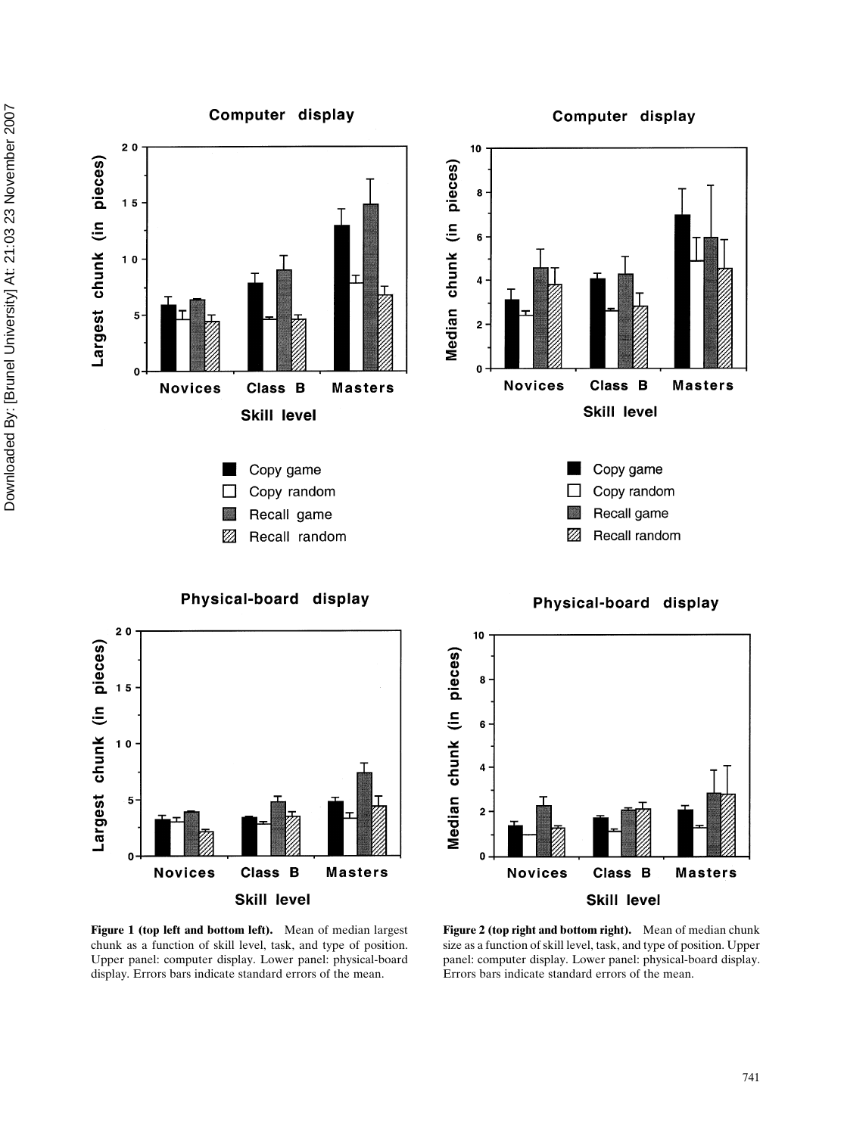

Physical-board display



**Figure 1 (top left and bottom left).** Mean of median largest chunk as a function of skill level, task, and type of position. Upper panel: computer display. Lower panel: physical-board display. Errors bars indicate standard errors of the mean.

Physical-board display



**Figure 2 (top right and bottom right).** Mean of median chunk size as a function of skill level, task, and type of position. Upper panel: computer display. Lower panel: physical-board display. Errors bars indicate standard errors of the mean.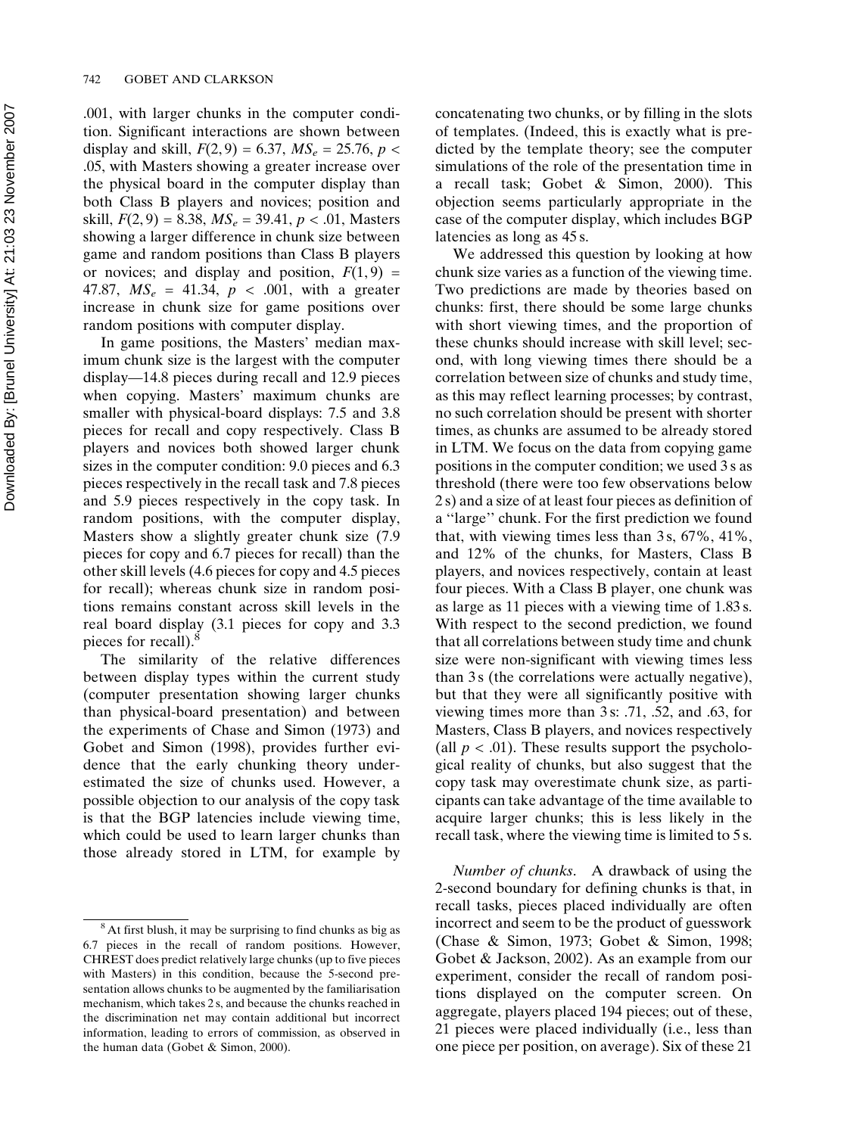.001, with larger chunks in the computer condition. Significant interactions are shown between display and skill,  $F(2, 9) = 6.37$ ,  $MS_e = 25.76$ ,  $p <$ .05, with Masters showing a greater increase over the physical board in the computer display than both Class B players and novices; position and skill,  $F(2, 9) = 8.38$ ,  $MS_e = 39.41$ ,  $p < .01$ , Masters showing a larger difference in chunk size between game and random positions than Class B players or novices; and display and position,  $F(1,9)$  = 47.87,  $MS_e = 41.34$ ,  $p < .001$ , with a greater increase in chunk size for game positions over random positions with computer display.

In game positions, the Masters' median maximum chunk size is the largest with the computer display—14.8 pieces during recall and 12.9 pieces when copying. Masters' maximum chunks are smaller with physical-board displays: 7.5 and 3.8 pieces for recall and copy respectively. Class B players and novices both showed larger chunk sizes in the computer condition: 9.0 pieces and 6.3 pieces respectively in the recall task and 7.8 pieces and 5.9 pieces respectively in the copy task. In random positions, with the computer display, Masters show a slightly greater chunk size (7.9) pieces for copy and 6.7 pieces for recall) than the other skill levels (4.6 pieces for copy and 4.5 pieces for recall); whereas chunk size in random positions remains constant across skill levels in the real board display (3.1 pieces for copy and 3.3 pieces for recall).<sup>8</sup>

The similarity of the relative differences between display types within the current study (computer presentation showing larger chunks) than physical-board presentation) and between the experiments of Chase and Simon (1973) and Gobet and Simon (1998), provides further evidence that the early chunking theory underestimated the size of chunks used. However, a possible objection to our analysis of the copy task is that the BGP latencies include viewing time, which could be used to learn larger chunks than those already stored in LTM, for example by

concatenating two chunks, or by filling in the slots of templates. (Indeed, this is exactly what is predicted by the template theory; see the computer simulations of the role of the presentation time in a recall task; Gobet & Simon, 2000). This objection seems particularly appropriate in the case of the computer display, which includes BGP latencies as long as 45 s.

We addressed this question by looking at how chunk size varies as a function of the viewing time. Two predictions are made by theories based on chunks: first, there should be some large chunks with short viewing times, and the proportion of these chunks should increase with skill level; second, with long viewing times there should be a correlation between size of chunks and study time, as this may reflect learning processes; by contrast, no such correlation should be present with shorter times, as chunks are assumed to be already stored in LTM. We focus on the data from copying game positions in the computer condition; we used 3s as threshold (there were too few observations below 2s) and a size of at least four pieces as definition of a "large" chunk. For the first prediction we found that, with viewing times less than  $3s$ ,  $67\%$ ,  $41\%$ , and 12% of the chunks, for Masters, Class B players, and novices respectively, contain at least four pieces. With a Class B player, one chunk was as large as 11 pieces with a viewing time of 1.83 s. With respect to the second prediction, we found that all correlations between study time and chunk size were non-significant with viewing times less than 3s (the correlations were actually negative), but that they were all significantly positive with viewing times more than  $3 \text{ s}$ : .71, .52, and .63, for Masters, Class B players, and novices respectively (all  $p < .01$ ). These results support the psychological reality of chunks, but also suggest that the copy task may overestimate chunk size, as participants can take advantage of the time available to acquire larger chunks; this is less likely in the recall task, where the viewing time is limited to 5 s.

Number of chunks. A drawback of using the 2-second boundary for defining chunks is that, in recall tasks, pieces placed individually are often incorrect and seem to be the product of guesswork (Chase & Simon, 1973; Gobet & Simon, 1998; Gobet & Jackson, 2002). As an example from our experiment, consider the recall of random positions displayed on the computer screen. On aggregate, players placed 194 pieces; out of these, 21 pieces were placed individually (i.e., less than one piece per position, on average). Six of these 21

<sup>&</sup>lt;sup>8</sup> At first blush, it may be surprising to find chunks as big as 6.7 pieces in the recall of random positions. However, CHREST does predict relatively large chunks (up to five pieces with Masters) in this condition, because the 5-second presentation allows chunks to be augmented by the familiarisation mechanism, which takes 2s, and because the chunks reached in the discrimination net may contain additional but incorrect information, leading to errors of commission, as observed in the human data (Gobet & Simon, 2000).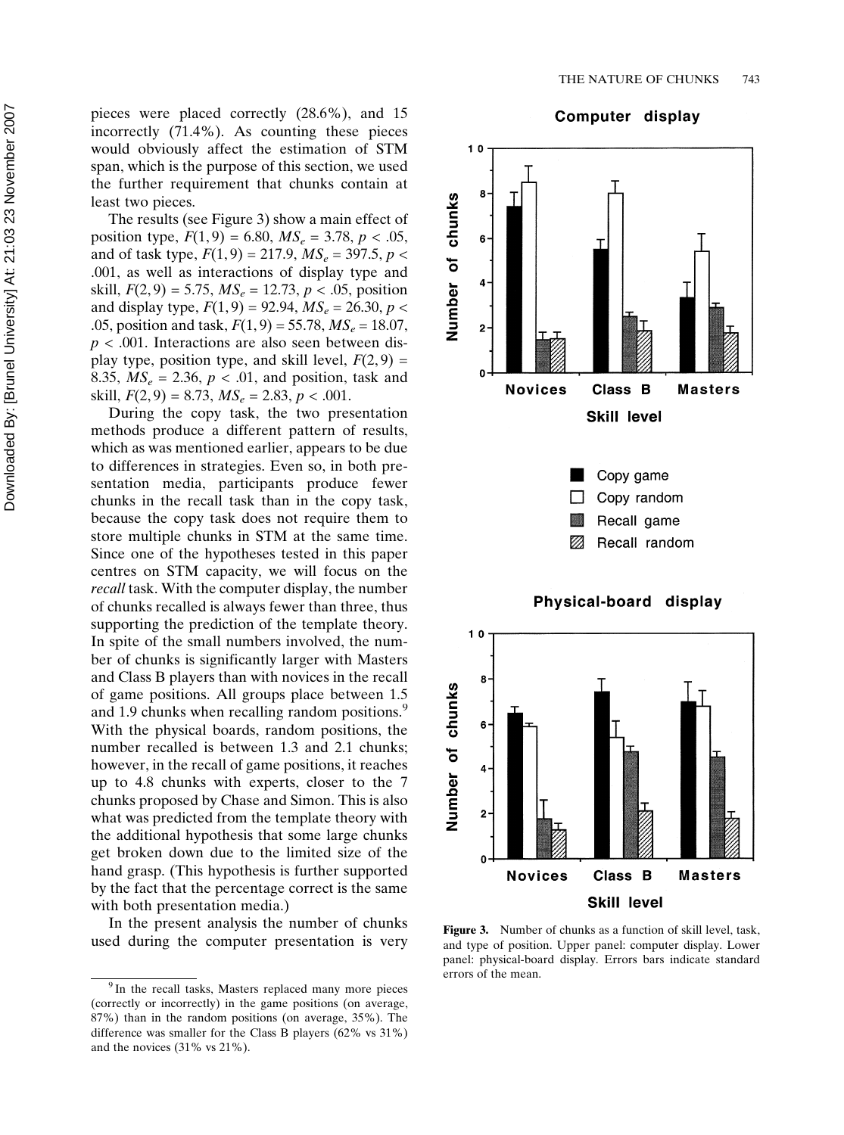pieces were placed correctly (28.6%), and 15 incorrectly (71.4%). As counting these pieces would obviously affect the estimation of STM span, which is the purpose of this section, we used the further requirement that chunks contain at least two pieces.

The results (see Figure 3) show a main effect of position type,  $F(1, 9) = 6.80$ ,  $MS_e = 3.78$ ,  $p < .05$ , and of task type,  $F(1,9) = 217.9$ ,  $MS_e = 397.5$ ,  $p <$ .001, as well as interactions of display type and skill,  $F(2, 9) = 5.75$ ,  $MS_e = 12.73$ ,  $p < .05$ , position and display type,  $F(1,9) = 92.94$ ,  $MS_e = 26.30$ ,  $p <$ .05, position and task,  $F(1, 9) = 55.78$ ,  $MS_e = 18.07$ ,  $p < .001$ . Interactions are also seen between display type, position type, and skill level,  $F(2,9) =$ 8.35,  $MS_e = 2.36$ ,  $p < .01$ , and position, task and skill,  $F(2,9) = 8.73$ ,  $MS_e = 2.83$ ,  $p < .001$ .

During the copy task, the two presentation methods produce a different pattern of results, which as was mentioned earlier, appears to be due to differences in strategies. Even so, in both presentation media, participants produce fewer chunks in the recall task than in the copy task, because the copy task does not require them to store multiple chunks in STM at the same time. Since one of the hypotheses tested in this paper centres on STM capacity, we will focus on the *recall* task. With the computer display, the number of chunks recalled is always fewer than three, thus supporting the prediction of the template theory. In spite of the small numbers involved, the number of chunks is significantly larger with Masters and Class B players than with novices in the recall of game positions. All groups place between 1.5 and 1.9 chunks when recalling random positions.<sup>9</sup> With the physical boards, random positions, the number recalled is between 1.3 and 2.1 chunks; however, in the recall of game positions, it reaches up to 4.8 chunks with experts, closer to the 7 chunks proposed by Chase and Simon. This is also what was predicted from the template theory with the additional hypothesis that some large chunks get broken down due to the limited size of the hand grasp. (This hypothesis is further supported by the fact that the percentage correct is the same with both presentation media.)

In the present analysis the number of chunks used during the computer presentation is very



**Skill level** 

Figure 3. Number of chunks as a function of skill level, task, and type of position. Upper panel: computer display. Lower panel: physical-board display. Errors bars indicate standard errors of the mean.

<sup>&</sup>lt;sup>9</sup> In the recall tasks, Masters replaced many more pieces (correctly or incorrectly) in the game positions (on average, 87%) than in the random positions (on average, 35%). The difference was smaller for the Class B players  $(62\% \text{ vs } 31\%)$ and the novices  $(31\% \text{ vs } 21\%).$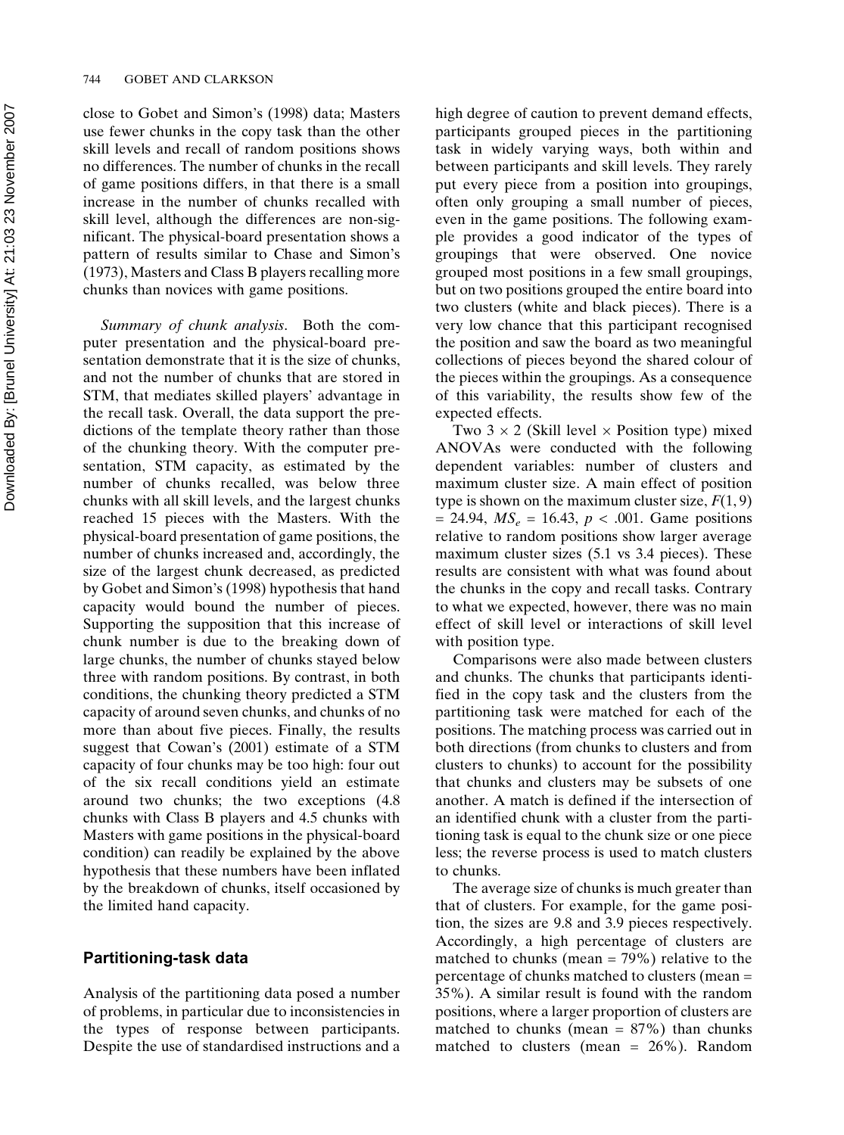close to Gobet and Simon's (1998) data; Masters use fewer chunks in the copy task than the other skill levels and recall of random positions shows no differences. The number of chunks in the recall of game positions differs, in that there is a small increase in the number of chunks recalled with skill level, although the differences are non-significant. The physical-board presentation shows a pattern of results similar to Chase and Simon's (1973), Masters and Class B players recalling more chunks than novices with game positions.

Summary of chunk analysis. Both the computer presentation and the physical-board presentation demonstrate that it is the size of chunks, and not the number of chunks that are stored in STM, that mediates skilled players' advantage in the recall task. Overall, the data support the predictions of the template theory rather than those of the chunking theory. With the computer presentation, STM capacity, as estimated by the number of chunks recalled, was below three chunks with all skill levels, and the largest chunks reached 15 pieces with the Masters. With the physical-board presentation of game positions, the number of chunks increased and, accordingly, the size of the largest chunk decreased, as predicted by Gobet and Simon's (1998) hypothesis that hand capacity would bound the number of pieces. Supporting the supposition that this increase of chunk number is due to the breaking down of large chunks, the number of chunks stayed below three with random positions. By contrast, in both conditions, the chunking theory predicted a STM capacity of around seven chunks, and chunks of no more than about five pieces. Finally, the results suggest that Cowan's (2001) estimate of a STM capacity of four chunks may be too high: four out of the six recall conditions yield an estimate around two chunks; the two exceptions (4.8) chunks with Class B players and 4.5 chunks with Masters with game positions in the physical-board condition) can readily be explained by the above hypothesis that these numbers have been inflated by the breakdown of chunks, itself occasioned by the limited hand capacity.

#### Partitioning-task data

Analysis of the partitioning data posed a number of problems, in particular due to inconsistencies in the types of response between participants. Despite the use of standardised instructions and a

high degree of caution to prevent demand effects, participants grouped pieces in the partitioning task in widely varying ways, both within and between participants and skill levels. They rarely put every piece from a position into groupings, often only grouping a small number of pieces, even in the game positions. The following example provides a good indicator of the types of groupings that were observed. One novice grouped most positions in a few small groupings, but on two positions grouped the entire board into two clusters (white and black pieces). There is a very low chance that this participant recognised the position and saw the board as two meaningful collections of pieces beyond the shared colour of the pieces within the groupings. As a consequence of this variability, the results show few of the expected effects.

Two  $3 \times 2$  (Skill level  $\times$  Position type) mixed ANOVAs were conducted with the following dependent variables: number of clusters and maximum cluster size. A main effect of position type is shown on the maximum cluster size,  $F(1, 9)$ = 24.94,  $MS_e$  = 16.43,  $p < .001$ . Game positions relative to random positions show larger average maximum cluster sizes (5.1 vs 3.4 pieces). These results are consistent with what was found about the chunks in the copy and recall tasks. Contrary to what we expected, however, there was no main effect of skill level or interactions of skill level with position type.

Comparisons were also made between clusters and chunks. The chunks that participants identified in the copy task and the clusters from the partitioning task were matched for each of the positions. The matching process was carried out in both directions (from chunks to clusters and from clusters to chunks) to account for the possibility that chunks and clusters may be subsets of one another. A match is defined if the intersection of an identified chunk with a cluster from the partitioning task is equal to the chunk size or one piece less; the reverse process is used to match clusters to chunks.

The average size of chunks is much greater than that of clusters. For example, for the game position, the sizes are 9.8 and 3.9 pieces respectively. Accordingly, a high percentage of clusters are matched to chunks (mean =  $79\%$ ) relative to the percentage of chunks matched to clusters (mean = 35%). A similar result is found with the random positions, where a larger proportion of clusters are matched to chunks (mean =  $87\%$ ) than chunks matched to clusters (mean =  $26\%$ ). Random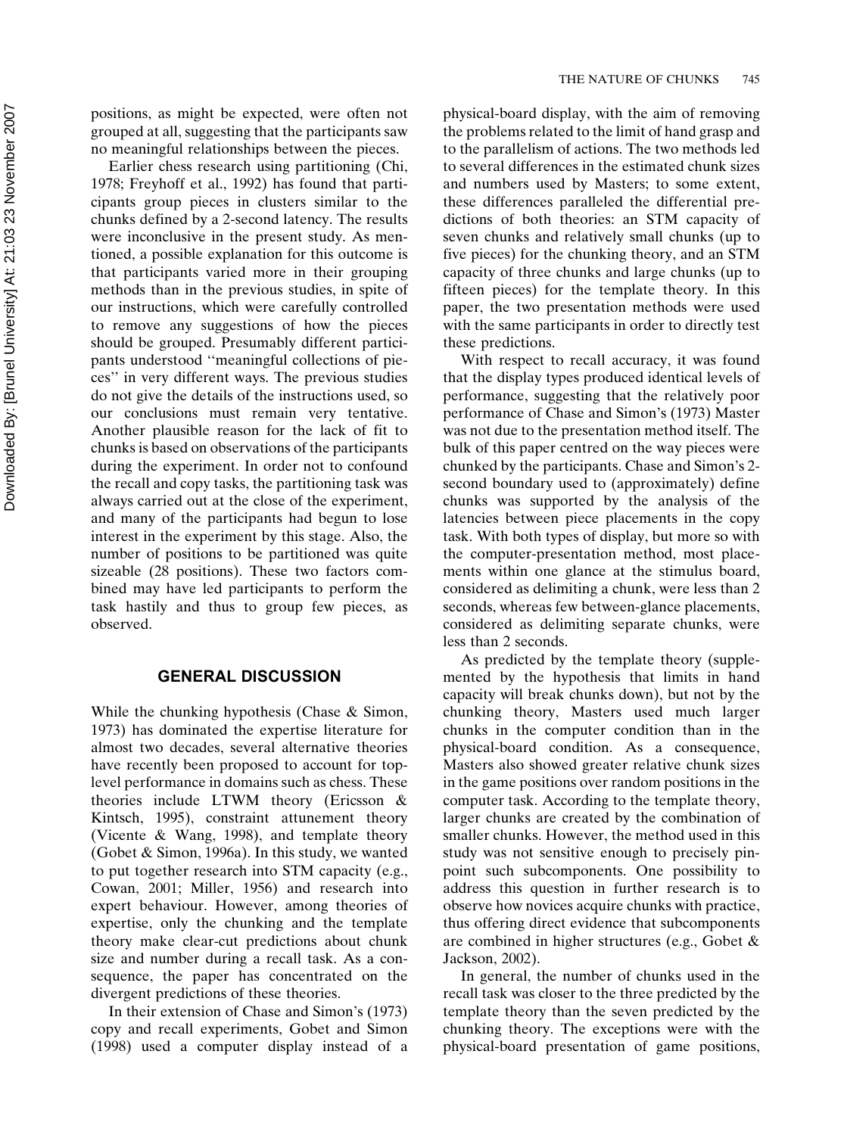positions, as might be expected, were often not grouped at all, suggesting that the participants saw no meaningful relationships between the pieces.

Earlier chess research using partitioning (Chi, 1978; Freyhoff et al., 1992) has found that participants group pieces in clusters similar to the chunks defined by a 2-second latency. The results were inconclusive in the present study. As mentioned, a possible explanation for this outcome is that participants varied more in their grouping methods than in the previous studies, in spite of our instructions, which were carefully controlled to remove any suggestions of how the pieces should be grouped. Presumably different participants understood "meaningful collections of pieces" in very different ways. The previous studies do not give the details of the instructions used, so our conclusions must remain very tentative. Another plausible reason for the lack of fit to chunks is based on observations of the participants during the experiment. In order not to confound the recall and copy tasks, the partitioning task was always carried out at the close of the experiment, and many of the participants had begun to lose interest in the experiment by this stage. Also, the number of positions to be partitioned was quite sizeable (28 positions). These two factors combined may have led participants to perform the task hastily and thus to group few pieces, as observed.

#### **GENERAL DISCUSSION**

While the chunking hypothesis (Chase  $&$  Simon, 1973) has dominated the expertise literature for almost two decades, several alternative theories have recently been proposed to account for toplevel performance in domains such as chess. These theories include LTWM theory (Ericsson Kintsch, 1995), constraint attunement theory (Vicente  $\&$  Wang, 1998), and template theory (Gobet & Simon, 1996a). In this study, we wanted to put together research into STM capacity (e.g., Cowan, 2001; Miller, 1956) and research into expert behaviour. However, among theories of expertise, only the chunking and the template theory make clear-cut predictions about chunk size and number during a recall task. As a consequence, the paper has concentrated on the divergent predictions of these theories.

In their extension of Chase and Simon's (1973) copy and recall experiments, Gobet and Simon (1998) used a computer display instead of a physical-board display, with the aim of removing the problems related to the limit of hand grasp and to the parallelism of actions. The two methods led to several differences in the estimated chunk sizes and numbers used by Masters; to some extent, these differences paralleled the differential predictions of both theories: an STM capacity of seven chunks and relatively small chunks (up to five pieces) for the chunking theory, and an STM capacity of three chunks and large chunks (up to fifteen pieces) for the template theory. In this paper, the two presentation methods were used with the same participants in order to directly test these predictions.

With respect to recall accuracy, it was found that the display types produced identical levels of performance, suggesting that the relatively poor performance of Chase and Simon's (1973) Master was not due to the presentation method itself. The bulk of this paper centred on the way pieces were chunked by the participants. Chase and Simon's 2second boundary used to (approximately) define chunks was supported by the analysis of the latencies between piece placements in the copy task. With both types of display, but more so with the computer-presentation method, most placements within one glance at the stimulus board, considered as delimiting a chunk, were less than 2 seconds, whereas few between-glance placements, considered as delimiting separate chunks, were less than 2 seconds.

As predicted by the template theory (supplemented by the hypothesis that limits in hand capacity will break chunks down), but not by the chunking theory, Masters used much larger chunks in the computer condition than in the physical-board condition. As a consequence, Masters also showed greater relative chunk sizes in the game positions over random positions in the computer task. According to the template theory, larger chunks are created by the combination of smaller chunks. However, the method used in this study was not sensitive enough to precisely pinpoint such subcomponents. One possibility to address this question in further research is to observe how novices acquire chunks with practice, thus offering direct evidence that subcomponents are combined in higher structures (e.g., Gobet  $\&$ Jackson, 2002).

In general, the number of chunks used in the recall task was closer to the three predicted by the template theory than the seven predicted by the chunking theory. The exceptions were with the physical-board presentation of game positions,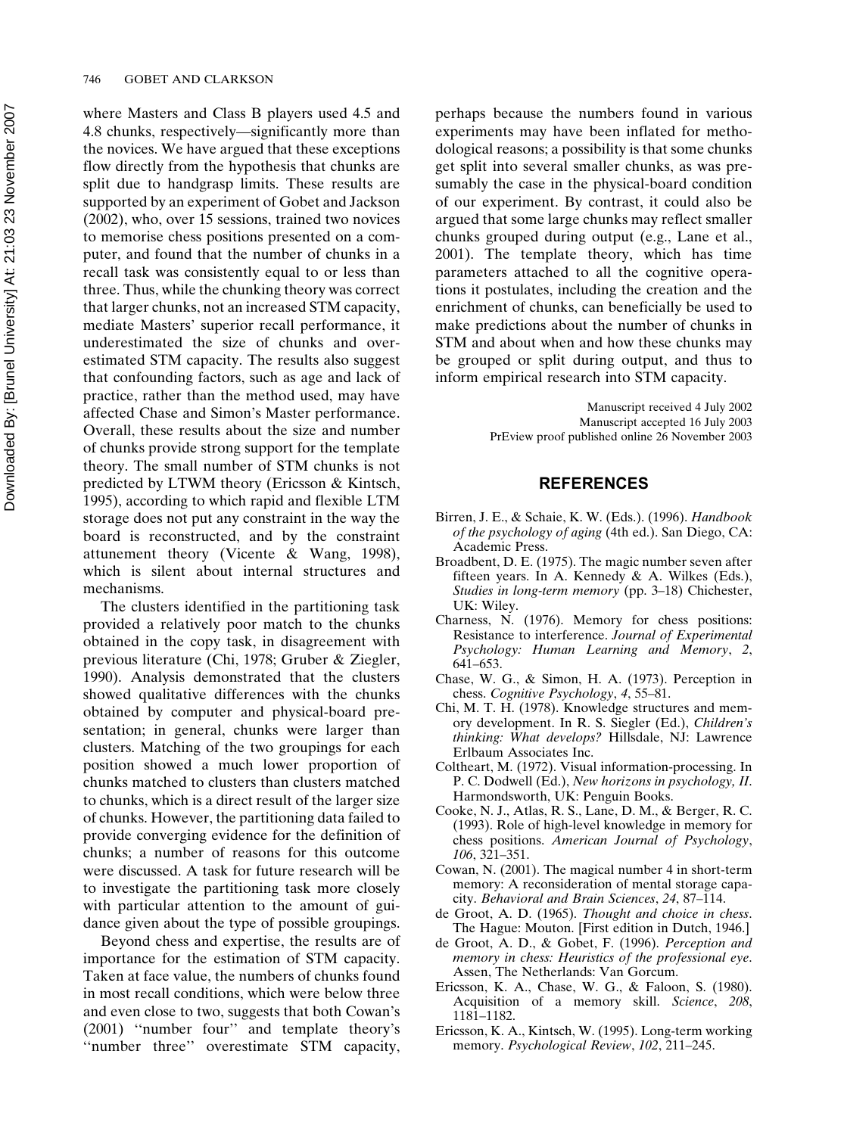where Masters and Class B players used 4.5 and 4.8 chunks, respectively—significantly more than the novices. We have argued that these exceptions flow directly from the hypothesis that chunks are split due to handgrasp limits. These results are supported by an experiment of Gobet and Jackson (2002), who, over 15 sessions, trained two novices to memorise chess positions presented on a computer, and found that the number of chunks in a recall task was consistently equal to or less than three. Thus, while the chunking theory was correct that larger chunks, not an increased STM capacity, mediate Masters' superior recall performance, it underestimated the size of chunks and overestimated STM capacity. The results also suggest that confounding factors, such as age and lack of practice, rather than the method used, may have affected Chase and Simon's Master performance. Overall, these results about the size and number of chunks provide strong support for the template theory. The small number of STM chunks is not predicted by LTWM theory (Ericsson & Kintsch, 1995), according to which rapid and flexible LTM storage does not put any constraint in the way the board is reconstructed, and by the constraint attunement theory (Vicente & Wang, 1998), which is silent about internal structures and mechanisms.

The clusters identified in the partitioning task provided a relatively poor match to the chunks obtained in the copy task, in disagreement with previous literature (Chi, 1978; Gruber & Ziegler, 1990). Analysis demonstrated that the clusters showed qualitative differences with the chunks obtained by computer and physical-board presentation; in general, chunks were larger than clusters. Matching of the two groupings for each position showed a much lower proportion of chunks matched to clusters than clusters matched to chunks, which is a direct result of the larger size of chunks. However, the partitioning data failed to provide converging evidence for the definition of chunks; a number of reasons for this outcome were discussed. A task for future research will be to investigate the partitioning task more closely with particular attention to the amount of guidance given about the type of possible groupings.

Beyond chess and expertise, the results are of importance for the estimation of STM capacity. Taken at face value, the numbers of chunks found in most recall conditions, which were below three and even close to two, suggests that both Cowan's (2001) "number four" and template theory's "number three" overestimate STM capacity,

perhaps because the numbers found in various experiments may have been inflated for methodological reasons; a possibility is that some chunks get split into several smaller chunks, as was presumably the case in the physical-board condition of our experiment. By contrast, it could also be argued that some large chunks may reflect smaller chunks grouped during output (e.g., Lane et al., 2001). The template theory, which has time parameters attached to all the cognitive operations it postulates, including the creation and the enrichment of chunks, can beneficially be used to make predictions about the number of chunks in STM and about when and how these chunks may be grouped or split during output, and thus to inform empirical research into STM capacity.

> Manuscript received 4 July 2002 Manuscript accepted 16 July 2003 PrEview proof published online 26 November 2003

#### **REFERENCES**

- Birren, J. E., & Schaie, K. W. (Eds.). (1996). Handbook *of the psychology of aging* (4th ed.). San Diego, CA: Academic Press.
- Broadbent, D. E. (1975). The magic number seven after fifteen years. In A. Kennedy & A. Wilkes (Eds.), Studies in long-term memory (pp. 3-18) Chichester, UK: Wiley.
- Charness, N. (1976). Memory for chess positions: Resistance to interference. Journal of Experimental Psychology: Human Learning and Memory, 2, 641-653
- Chase, W. G., & Simon, H. A. (1973). Perception in chess. Cognitive Psychology, 4, 55-81.
- Chi, M. T. H. (1978). Knowledge structures and memory development. In R. S. Siegler (Ed.), Children's thinking: What develops? Hillsdale, NJ: Lawrence Erlbaum Associates Inc.
- Coltheart, M. (1972). Visual information-processing. In P. C. Dodwell (Ed.), New horizons in psychology, II. Harmondsworth, UK: Penguin Books.
- Cooke, N. J., Atlas, R. S., Lane, D. M., & Berger, R. C. (1993). Role of high-level knowledge in memory for chess positions. American Journal of Psychology, 106, 321-351.
- Cowan, N. (2001). The magical number 4 in short-term memory: A reconsideration of mental storage capacity. Behavioral and Brain Sciences, 24, 87–114.
- de Groot, A. D. (1965). Thought and choice in chess. The Hague: Mouton. [First edition in Dutch, 1946.]
- de Groot, A. D., & Gobet, F. (1996). Perception and memory in chess: Heuristics of the professional eye. Assen, The Netherlands: Van Gorcum.
- Ericsson, K. A., Chase, W. G., & Faloon, S. (1980). Acquisition of a memory skill. Science, 208, 1181–1182.
- Ericsson, K. A., Kintsch, W. (1995). Long-term working memory. Psychological Review, 102, 211-245.